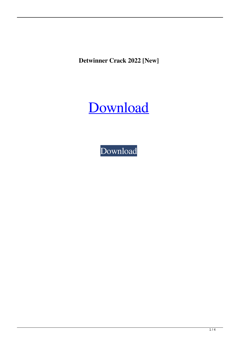**Detwinner Crack 2022 [New]**

# [Download](http://evacdir.com/RGV0d2lubmVyRGV.marinovich/sicker.excercises.ZG93bmxvYWR8WkE4TWpFNGVYeDhNVFkxTkRVeU1qRXhNSHg4TWpVNU1IeDhLRTBwSUZkdmNtUndjbVZ6Y3lCYldFMU1VbEJESUZZeUlGQkVSbDA/inclusives/rossing.)

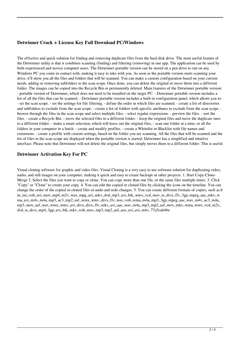## **Detwinner Crack + License Key Full Download PC/Windows**

The effective and quick solution for finding and removing duplicate files from the hard disk drive. The most useful feature of the Detwinner utility is that it combines scanning (finding) and filtering (removing) in one app. The application can be used by both experienced and novice computer users. The Detwinner portable version can be stored on a pen drive to run on any Windows PC you come in contact with, making it easy to take with you. As soon as the portable version starts scanning your drive, it'll show you all the files and folders that will be scanned. You can make a custom configuration based on your current needs, adding or removing subfolders to the scan scope. Once done, you can delete the original or move them into a different folder. The images can be copied into the Recycle Bin or permanently deleted. Main features of the Detwinner portable version: - portable version of Detwinner, which does not need to be installed on the target PC. - Detwinner portable version includes a list of all the files that can be scanned. - Detwinner portable version includes a built-in configuration panel, which allows you to: - set the scan scope. - set the settings for file filtering. - define the order in which files are scanned. - create a list of directories and subfolders to exclude from the scan scope. - create a list of folders with specific attributes to exclude from the scan scope. browse through the files in the scan scope and select multiple files. - select regular expressions. - preview the files. - sort the files. - create a Recycle Bin. - move the selected files to a different folder. - keep the original files and move the duplicate ones to a different folder. - make a smart selection, which will leave out the original files. - scan one folder at a time, or all the folders in your computer in a batch. - create and modify profiles. - create a Whitelist or Blacklist with file names and extensions. - create a profile with custom settings, based on the folder you are scanning. All the files that will be scanned and the list of files in the scan scope are displayed when the portable version is started. Detwinner has a simplified and intuitive interface. Please note that Detwinner will not delete the original files, but simply moves them to a different folder. This is useful

### **Detwinner Activation Key For PC**

Visual cloning software for graphic and video files. Visual Cloning is a very easy to use software solution for duplicating video, audio, and still images on your computer, making it quick and easy to create backups or other projects. 1. Start Copy-Clone-Merge 2. Select the files you want to copy or clone. You can copy more than one file, or the same files multiple times. 3. Click "Copy" or "Clone" to create your copy. 4. You can edit the copied or cloned files by clicking the icons on the timeline. You can change the order of the copied or cloned files or undo and redo changes. 5. You can create different formats of copies, such as.b in,.iso,.vob,.avi,.mov,.mp4,.m2v,.wax,.mpg,.avi,.mkv,.dvd,.mp3,.avi,.bik,.wmv,.vcd,.mov,.ts,.divx,.flv,.3gp,.mpeg,.aac,.mkv,.w ma,.avi,.m4v,.m4a,.mp3,.ac3,.mp2,.asf,.wmx,.wmv,.divx,.flv,.wav,.vob,.wma,.m4a,.mp3,.3gp,.mpeg,.aac,.wav,.m4v,.ac3,.m4a,. mp3,.mov,.asf,.wav,.wmx,.wmv,.avi,.divx,.divx,.flv,.mkv,.avi,.aac,.wav,.m4a,.mp3,.mp2,.asf,.mov,.mkv,.wma,.wmv,.vcd,.m2v,. dvd,.ts,.divx,.mp4,.3gp,.avi,.bik,.mkv,.vob,.mov,.mp3,.mp2,.asf,.asx,.avi,.avi,.m4v, 77a5ca646e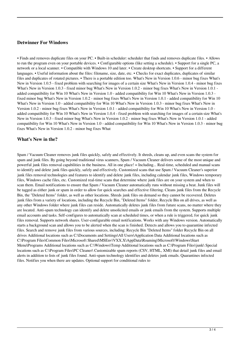#### **Detwinner For Windows**

• Finds and removes duplicate files on your PC. • Built-in scheduler: scheduler that finds and removes duplicate files. • Allows to run the program even on your portable devices. • Configurable options (like setting a schedule). • Support for a single PC, a network or a local scanner. • Compatible with Windows 10 and later. • Create desktop shortcuts. • Support for a different languages. • Useful information about the files: filename, size, date, etc. • Checks for exact duplicates, duplicates of similar files and duplicates of rotated pictures. • There is a portable edition too. What's New in Version 1.0.6 - minor bug fixes What's New in Version 1.0.5 - fixed problem with searching for images of a certain size What's New in Version 1.0.4 - minor bug fixes What's New in Version 1.0.3 - fixed minor bug What's New in Version 1.0.2 - minor bug fixes What's New in Version 1.0.1 added compatibility for Win 10 What's New in Version 1.0 - added compatibility for Win 10 What's New in Version 1.0.3 fixed minor bug What's New in Version 1.0.2 - minor bug fixes What's New in Version 1.0.1 - added compatibility for Win 10 What's New in Version 1.0 - added compatibility for Win 10 What's New in Version 1.0.3 - minor bug fixes What's New in Version 1.0.2 - minor bug fixes What's New in Version 1.0.1 - added compatibility for Win 10 What's New in Version 1.0 added compatibility for Win 10 What's New in Version 1.0.4 - fixed problem with searching for images of a certain size What's New in Version 1.0.3 - fixed minor bug What's New in Version 1.0.2 - minor bug fixes What's New in Version 1.0.1 - added compatibility for Win 10 What's New in Version 1.0 - added compatibility for Win 10 What's New in Version 1.0.3 - minor bug fixes What's New in Version 1.0.2 - minor bug fixes What

#### **What's New in the?**

Spam / Vacuum Cleaner removes junk files quickly, safely and effectively. It shreds, cleans up, and even scans the system for spam and junk files. By going beyond traditional virus scanners, Spam / Vacuum Cleaner delivers some of the most unique and powerful junk files removal capabilities in the business. All in one place! = Including... Real-time, scheduled and manual scans to identify and delete junk files quickly, safely and effectively. Customized scans that use Spam / Vacuum Cleaner's superior junk files removal technologies and features to identify and delete junk files, including calendar junk files, Windows temporary files, Windows cache files, etc. Customized real-time scans that determine where junk files are on your system and when to scan them. Email notifications to ensure that Spam / Vacuum Cleaner automatically runs without missing a beat. Junk files will be tagged as either junk or spam in order to allow for quick searches and effective filtering. Cleans junk files from the Recycle Bin, the "Deleted Items" folder, as well as other locations. Shreds junk files on demand so they cannot be recovered. Deletes junk files from a variety of locations, including the Recycle Bin, "Deleted Items" folder, Recycle Bin on all drives, as well as any other Windows folder where junk files can reside. Automatically deletes junk files from future scans, no matter where they are located. Anti-spam technology can identify and delete unsolicited emails or junk emails from the system. Supports multiple email accounts and tasks. Self-configures to automatically scan at scheduled times, or when a rule is triggered, for quick junk files removal. Supports network shares. User-configurable email notifications. Works with any Windows version. Automatically starts a background scan and allows you to be alerted when the scan is finished. Detects and allows you to quarantine infected files. Search and remove junk files from various sources, including: Recycle Bin "Deleted Items" folder Recycle Bin on all drives Additional locations such as C:\Documents and Settings\All Users\Application Data Additional locations such as C:\Program Files\Common Files\Microsoft Shared\MSEnv\VXX.X\AppData\Roaming\Microsoft\Windows\Start Menu\Programs Additional locations such as C:\Windows\Temp Additional locations such as C:\Program Files\junk\ Special locations such as C:\Program Files\PC Cleaner\ Customizable spam reports (CSV, HTML, XMI) that detail junk files and email alerts in addition to lists of junk files found. Anti-spam technology identifies and deletes junk emails. Quarantines infected files. Notifies you when there are updates. Optional support for conditional rules to